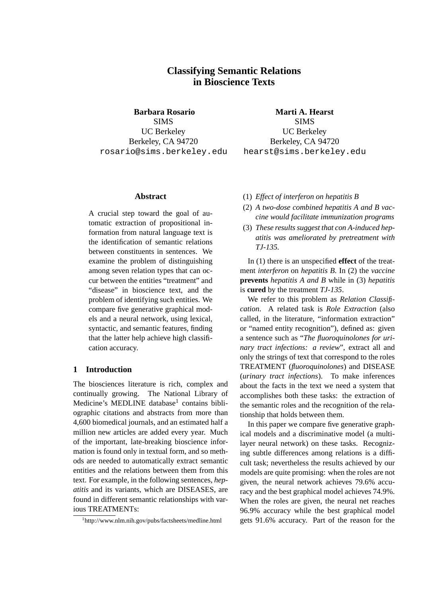# **Classifying Semantic Relations in Bioscience Texts**

**Barbara Rosario**

SIMS UC Berkeley Berkeley, CA 94720 rosario@sims.berkeley.edu

**Marti A. Hearst** SIMS UC Berkeley Berkeley, CA 94720 hearst@sims.berkeley.edu

## **Abstract**

A crucial step toward the goal of automatic extraction of propositional information from natural language text is the identification of semantic relations between constituents in sentences. We examine the problem of distinguishing among seven relation types that can occur between the entities "treatment" and "disease" in bioscience text, and the problem of identifying such entities. We compare five generative graphical models and a neural network, using lexical, syntactic, and semantic features, finding that the latter help achieve high classification accuracy.

### **1 Introduction**

The biosciences literature is rich, complex and continually growing. The National Library of Medicine's MEDLINE database<sup>1</sup> contains bibliographic citations and abstracts from more than 4,600 biomedical journals, and an estimated half a million new articles are added every year. Much of the important, late-breaking bioscience information is found only in textual form, and so methods are needed to automatically extract semantic entities and the relations between them from this text. For example, in the following sentences, *hepatitis* and its variants, which are DISEASES, are found in different semantic relationships with various TREATMENTs:

- (1) *Effect of interferon on hepatitis B*
- (2) *A two-dose combined hepatitis A and B vaccine would facilitate immunization programs*
- (3) *These results suggest that con A-induced hepatitis was ameliorated by pretreatment with TJ-135.*

In (1) there is an unspecified **effect** of the treatment *interferon* on *hepatitis B*. In (2) the *vaccine* **prevents** *hepatitis A and B* while in (3) *hepatitis* is **cured** by the treatment *TJ-135*.

We refer to this problem as *Relation Classification*. A related task is *Role Extraction* (also called, in the literature, "information extraction" or "named entity recognition"), defined as: given a sentence such as "*The fluoroquinolones for urinary tract infections: a review*", extract all and only the strings of text that correspond to the roles TREATMENT (*fluoroquinolones*) and DISEASE (*urinary tract infections*). To make inferences about the facts in the text we need a system that accomplishes both these tasks: the extraction of the semantic roles and the recognition of the relationship that holds between them.

In this paper we compare five generative graphical models and a discriminative model (a multilayer neural network) on these tasks. Recognizing subtle differences among relations is a difficult task; nevertheless the results achieved by our models are quite promising: when the roles are not given, the neural network achieves 79.6% accuracy and the best graphical model achieves 74.9%. When the roles are given, the neural net reaches 96.9% accuracy while the best graphical model gets 91.6% accuracy. Part of the reason for the

<sup>1</sup> http://www.nlm.nih.gov/pubs/factsheets/medline.html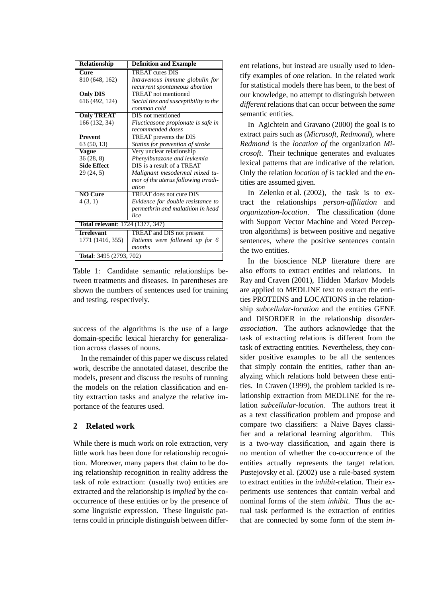| Relationship                     | <b>Definition and Example</b>           |  |  |  |  |
|----------------------------------|-----------------------------------------|--|--|--|--|
| $\overline{\text{Cure}}$         | <b>TREAT</b> cures DIS                  |  |  |  |  |
| 810 (648, 162)                   | Intravenous immune globulin for         |  |  |  |  |
|                                  | recurrent spontaneous abortion          |  |  |  |  |
| <b>Only DIS</b>                  | <b>TREAT</b> not mentioned              |  |  |  |  |
| 616 (492, 124)                   | Social ties and susceptibility to the   |  |  |  |  |
|                                  | common cold                             |  |  |  |  |
| <b>Only TREAT</b>                | <b>DIS</b> not mentioned                |  |  |  |  |
| 166 (132, 34)                    | Flucticasone propionate is safe in      |  |  |  |  |
|                                  | recommended doses                       |  |  |  |  |
| <b>Prevent</b>                   | <b>TREAT</b> prevents the DIS           |  |  |  |  |
| 63 (50, 13)                      | Statins for prevention of stroke        |  |  |  |  |
| Vague                            | Very unclear relationship               |  |  |  |  |
| 36(28, 8)                        | Phenylbutazone and leukemia             |  |  |  |  |
| <b>Side Effect</b>               | DIS is a result of a TREAT              |  |  |  |  |
| 29(24, 5)                        | Malignant mesodermal mixed tu-          |  |  |  |  |
|                                  | mor of the uterus following irradi-     |  |  |  |  |
|                                  | ation                                   |  |  |  |  |
| <b>NO Cure</b>                   | TREAT does not cure DIS                 |  |  |  |  |
| 4(3, 1)                          | Evidence for double resistance to       |  |  |  |  |
|                                  | permethrin and malathion in head        |  |  |  |  |
|                                  | lice                                    |  |  |  |  |
| Total relevant: 1724 (1377, 347) |                                         |  |  |  |  |
| <b>Trrelevant</b>                | <b>TREAT</b> and <b>DIS</b> not present |  |  |  |  |
| 1771 (1416, 355)                 | Patients were followed up for 6         |  |  |  |  |
|                                  | months                                  |  |  |  |  |
| <b>Total:</b> 3495 (2793, 702)   |                                         |  |  |  |  |

Table 1: Candidate semantic relationships between treatments and diseases. In parentheses are shown the numbers of sentences used for training and testing, respectively.

success of the algorithms is the use of a large domain-specific lexical hierarchy for generalization across classes of nouns.

In the remainder of this paper we discuss related work, describe the annotated dataset, describe the models, present and discuss the results of running the models on the relation classification and entity extraction tasks and analyze the relative importance of the features used.

# **2 Related work**

While there is much work on role extraction, very little work has been done for relationship recognition. Moreover, many papers that claim to be doing relationship recognition in reality address the task of role extraction: (usually two) entities are extracted and the relationship is *implied* by the cooccurrence of these entities or by the presence of some linguistic expression. These linguistic patterns could in principle distinguish between different relations, but instead are usually used to identify examples of *one* relation. In the related work for statistical models there has been, to the best of our knowledge, no attempt to distinguish between *different* relations that can occur between the *same* semantic entities.

In Agichtein and Gravano (2000) the goal is to extract pairs such as (*Microsoft, Redmond*), where *Redmond* is the *location of* the organization *Microsoft*. Their technique generates and evaluates lexical patterns that are indicative of the relation. Only the relation *location of* is tackled and the entities are assumed given.

In Zelenko et al. (2002), the task is to extract the relationships *person-affiliation* and *organization-location*. The classification (done with Support Vector Machine and Voted Perceptron algorithms) is between positive and negative sentences, where the positive sentences contain the two entities.

In the bioscience NLP literature there are also efforts to extract entities and relations. In Ray and Craven (2001), Hidden Markov Models are applied to MEDLINE text to extract the entities PROTEINS and LOCATIONS in the relationship *subcellular-location* and the entities GENE and DISORDER in the relationship *disorderassociation*. The authors acknowledge that the task of extracting relations is different from the task of extracting entities. Nevertheless, they consider positive examples to be all the sentences that simply contain the entities, rather than analyzing which relations hold between these entities. In Craven (1999), the problem tackled is relationship extraction from MEDLINE for the relation *subcellular-location*. The authors treat it as a text classification problem and propose and compare two classifiers: a Naive Bayes classifier and a relational learning algorithm. This is a two-way classification, and again there is no mention of whether the co-occurrence of the entities actually represents the target relation. Pustejovsky et al. (2002) use a rule-based system to extract entities in the *inhibit*-relation. Their experiments use sentences that contain verbal and nominal forms of the stem *inhibit*. Thus the actual task performed is the extraction of entities that are connected by some form of the stem *in-*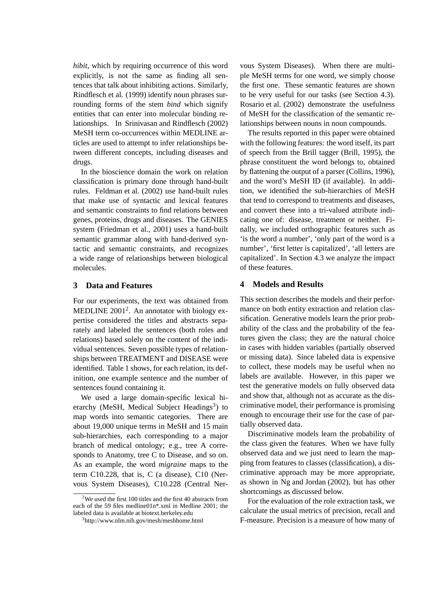*hibit*, which by requiring occurrence of this word explicitly, is not the same as finding all sentences that talk about inhibiting actions. Similarly, Rindflesch et al. (1999) identify noun phrases surrounding forms of the stem *bind* which signify entities that can enter into molecular binding relationships. In Srinivasan and Rindflesch (2002) MeSH term co-occurrences within MEDLINE articles are used to attempt to infer relationships between different concepts, including diseases and drugs.

In the bioscience domain the work on relation classification is primary done through hand-built rules. Feldman et al. (2002) use hand-built rules that make use of syntactic and lexical features and semantic constraints to find relations between genes, proteins, drugs and diseases. The GENIES system (Friedman et al., 2001) uses a hand-built semantic grammar along with hand-derived syntactic and semantic constraints, and recognizes a wide range of relationships between biological molecules.

## **3 Data and Features**

For our experiments, the text was obtained from MEDLINE  $2001^2$ . An annotator with biology expertise considered the titles and abstracts separately and labeled the sentences (both roles and relations) based solely on the content of the individual sentences. Seven possible types of relationships between TREATMENT and DISEASE were identified. Table 1 shows, for each relation, its definition, one example sentence and the number of sentences found containing it.

We used a large domain-specific lexical hierarchy (MeSH, Medical Subject Headings<sup>3</sup>) to map words into semantic categories. There are about 19,000 unique terms in MeSH and 15 main sub-hierarchies, each corresponding to a major branch of medical ontology; e.g., tree A corresponds to Anatomy, tree C to Disease, and so on. As an example, the word *migraine* maps to the term C10.228, that is, C (a disease), C10 (Nervous System Diseases), C10.228 (Central Ner-

vous System Diseases). When there are multiple MeSH terms for one word, we simply choose the first one. These semantic features are shown to be very useful for our tasks (see Section 4.3). Rosario et al. (2002) demonstrate the usefulness of MeSH for the classification of the semantic relationships between nouns in noun compounds.

The results reported in this paper were obtained with the following features: the word itself, its part of speech from the Brill tagger (Brill, 1995), the phrase constituent the word belongs to, obtained by flattening the output of a parser (Collins, 1996), and the word's MeSH ID (if available). In addition, we identified the sub-hierarchies of MeSH that tend to correspond to treatments and diseases, and convert these into a tri-valued attribute indicating one of: disease, treatment or neither. Finally, we included orthographic features such as 'is the word a number', 'only part of the word is a number', 'first letter is capitalized', 'all letters are capitalized'. In Section 4.3 we analyze the impact of these features.

#### **4 Models and Results**

This section describes the models and their performance on both entity extraction and relation classification. Generative models learn the prior probability of the class and the probability of the features given the class; they are the natural choice in cases with hidden variables (partially observed or missing data). Since labeled data is expensive to collect, these models may be useful when no labels are available. However, in this paper we test the generative models on fully observed data and show that, although not as accurate as the discriminative model, their performance is promising enough to encourage their use for the case of partially observed data.

Discriminative models learn the probability of the class given the features. When we have fully observed data and we just need to learn the mapping from features to classes (classification), a discriminative approach may be more appropriate, as shown in Ng and Jordan (2002), but has other shortcomings as discussed below.

For the evaluation of the role extraction task, we calculate the usual metrics of precision, recall and F-measure. Precision is a measure of how many of

 $2$ We used the first 100 titles and the first 40 abstracts from each of the 59 files medline01n\*.xml in Medline 2001; the labeled data is available at biotext.berkeley.edu

<sup>3</sup> http://www.nlm.nih.gov/mesh/meshhome.html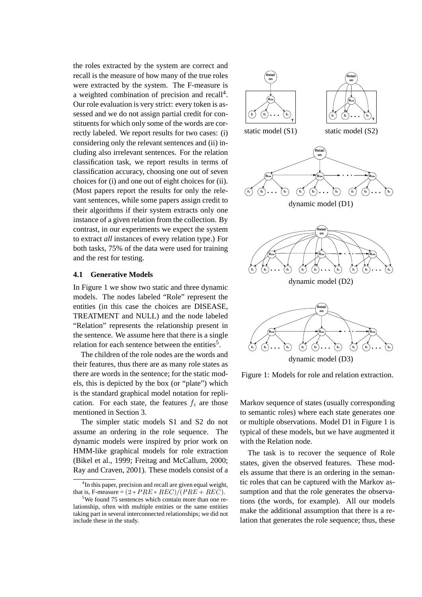the roles extracted by the system are correct and recall is the measure of how many of the true roles were extracted by the system. The F-measure is a weighted combination of precision and recall<sup>4</sup>. Our role evaluation is very strict: every token is assessed and we do not assign partial credit for constituents for which only some of the words are correctly labeled. We report results for two cases: (i) considering only the relevant sentences and (ii) including also irrelevant sentences. For the relation classification task, we report results in terms of classification accuracy, choosing one out of seven choices for (i) and one out of eight choices for (ii). (Most papers report the results for only the relevant sentences, while some papers assign credit to their algorithms if their system extracts only one instance of a given relation from the collection. By contrast, in our experiments we expect the system to extract *all* instances of every relation type.) For both tasks, 75% of the data were used for training and the rest for testing.

#### **4.1 Generative Models**

In Figure 1 we show two static and three dynamic models. The nodes labeled "Role" represent the entities (in this case the choices are DISEASE, TREATMENT and NULL) and the node labeled "Relation" represents the relationship present in the sentence. We assume here that there is a single relation for each sentence between the entities<sup>5</sup>.

The children of the role nodes are the words and their features, thus there are as many role states as there are words in the sentence; for the static models, this is depicted by the box (or "plate") which is the standard graphical model notation for replication. For each state, the features  $f_i$  are those mentioned in Section 3.

The simpler static models S1 and S2 do not assume an ordering in the role sequence. The dynamic models were inspired by prior work on HMM-like graphical models for role extraction (Bikel et al., 1999; Freitag and McCallum, 2000; Ray and Craven, 2001). These models consist of a



dynamic model (D3)

Figure 1: Models for role and relation extraction.

Markov sequence of states (usually corresponding to semantic roles) where each state generates one or multiple observations. Model D1 in Figure 1 is typical of these models, but we have augmented it with the Relation node.

The task is to recover the sequence of Role states, given the observed features. These models assume that there is an ordering in the semantic roles that can be captured with the Markov assumption and that the role generates the observations (the words, for example). All our models make the additional assumption that there is a relation that generates the role sequence; thus, these

<sup>&</sup>lt;sup>4</sup>In this paper, precision and recall are given equal weight, that is, F-measure =  $(2 * PRE * REC)/(PRE + REC)$ .

<sup>&</sup>lt;sup>5</sup>We found 75 sentences which contain more than one relationship, often with multiple entities or the same entities taking part in several interconnected relationships; we did not include these in the study.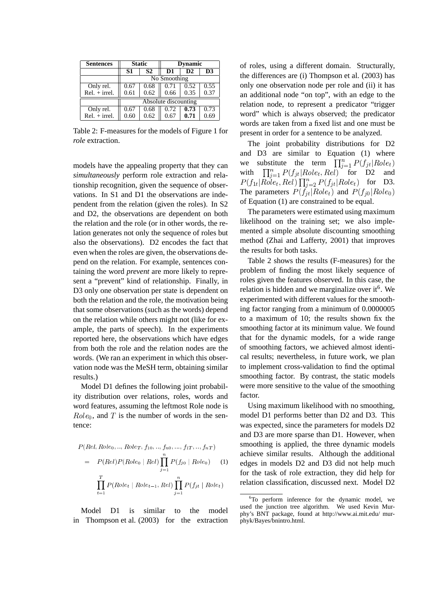| <b>Sentences</b> |                      | <b>Static</b> | <b>Dynamic</b> |      |                |  |  |  |
|------------------|----------------------|---------------|----------------|------|----------------|--|--|--|
|                  | S1                   | <b>S2</b>     | D <sub>1</sub> | D2   | D <sub>3</sub> |  |  |  |
|                  | No Smoothing         |               |                |      |                |  |  |  |
| Only rel.        | 0.67                 | 0.68          | 0.71           | 0.52 | 0.55           |  |  |  |
| $Rel. + irrel.$  | 0.61                 | 0.62          | 0.66           | 0.35 | 0.37           |  |  |  |
|                  | Absolute discounting |               |                |      |                |  |  |  |
| Only rel.        | 0.67                 | 0.68          | 0.72           | 0.73 | 0.73           |  |  |  |
| $Rel. + irrel.$  | 0.60                 | 0.62          | 0.67           | 0.71 | 0.69           |  |  |  |

Table 2: F-measures for the models of Figure 1 for *role* extraction.

models have the appealing property that they can *simultaneously* perform role extraction and relationship recognition, given the sequence of observations. In S1 and D1 the observations are independent from the relation (given the roles). In S2 and D2, the observations are dependent on both the relation and the role (or in other words, the relation generates not only the sequence of roles but also the observations). D2 encodes the fact that even when the roles are given, the observations depend on the relation. For example, sentences containing the word *prevent* are more likely to represent a "prevent" kind of relationship. Finally, in D3 only one observation per state is dependent on both the relation and the role, the motivation being that some observations (such as the words) depend on the relation while others might not (like for example, the parts of speech). In the experiments reported here, the observations which have edges from both the role and the relation nodes are the words. (We ran an experiment in which this observation node was the MeSH term, obtaining similar results.)

Model D1 defines the following joint probability distribution over relations, roles, words and word features, assuming the leftmost Role node is  $Role<sub>0</sub>$ , and T is the number of words in the sentence:

$$
P(Rel, Role_0, ..., Role_T, f_{10}, ..., f_{n0}, ..., f_{1T}, ..., f_{nT})
$$
  
=  $P(Rel)P(Rele_0 | Rel) \prod_{j=1}^{n} P(f_{j0} | Role_0)$  (1)  
 $\prod_{t=1}^{T} P(Role_t | Role_{t-1}, Rel) \prod_{j=1}^{n} P(f_{jt} | Role_t)$ 

Model D1 is similar to the model in Thompson et al. (2003) for the extraction of roles, using a different domain. Structurally, the differences are (i) Thompson et al. (2003) has only one observation node per role and (ii) it has an additional node "on top", with an edge to the relation node, to represent a predicator "trigger word" which is always observed; the predicator words are taken from a fixed list and one must be present in order for a sentence to be analyzed.

The joint probability distributions for D2 and D3 are similar to Equation (1) where we substitute the term  $\prod_{i=1}^{n} P(f_{it}|Role_t)$ with  $\prod_{i=1}^n P(f_{it}|Role_t, Rel)$  for D2 and  $P(f_{1t}|Role_t, Rel) \prod_{i=2}^n P(f_{it}|Role_t)$  for D3. The parameters  $P(f_{it}|Role_t)$  and  $P(f_{i0}|Role_0)$ of Equation (1) are constrained to be equal.

The parameters were estimated using maximum likelihood on the training set; we also implemented a simple absolute discounting smoothing method (Zhai and Lafferty, 2001) that improves the results for both tasks.

Table 2 shows the results (F-measures) for the problem of finding the most likely sequence of roles given the features observed. In this case, the relation is hidden and we marginalize over it<sup>6</sup>. We experimented with different values for the smoothing factor ranging from a minimum of 0.0000005 to a maximum of 10; the results shown fix the smoothing factor at its minimum value. We found that for the dynamic models, for a wide range of smoothing factors, we achieved almost identical results; nevertheless, in future work, we plan to implement cross-validation to find the optimal smoothing factor. By contrast, the static models were more sensitive to the value of the smoothing factor.

Using maximum likelihood with no smoothing, model D1 performs better than D2 and D3. This was expected, since the parameters for models D2 and D3 are more sparse than D1. However, when smoothing is applied, the three dynamic models achieve similar results. Although the additional edges in models D2 and D3 did not help much for the task of role extraction, they did help for relation classification, discussed next. Model D2

 ${}^{6}$ To perform inference for the dynamic model, we used the junction tree algorithm. We used Kevin Murphy's BNT package, found at http://www.ai.mit.edu/ murphyk/Bayes/bnintro.html.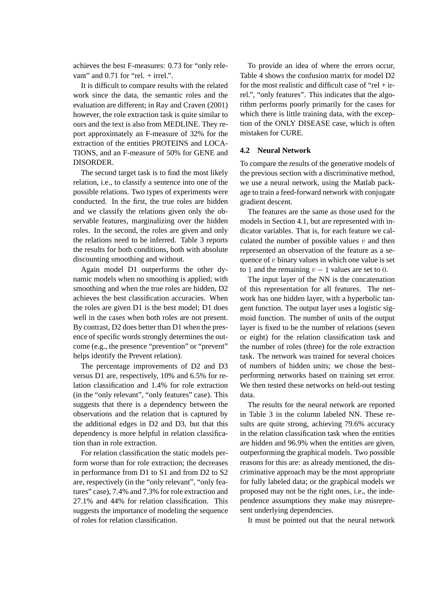achieves the best F-measures: 0.73 for "only relevant" and  $0.71$  for "rel. + irrel.".

It is difficult to compare results with the related work since the data, the semantic roles and the evaluation are different; in Ray and Craven (2001) however, the role extraction task is quite similar to ours and the text is also from MEDLINE. They report approximately an F-measure of 32% for the extraction of the entities PROTEINS and LOCA-TIONS, and an F-measure of 50% for GENE and DISORDER.

The second target task is to find the most likely relation, i.e., to classify a sentence into one of the possible relations. Two types of experiments were conducted. In the first, the true roles are hidden and we classify the relations given only the observable features, marginalizing over the hidden roles. In the second, the roles are given and only the relations need to be inferred. Table 3 reports the results for both conditions, both with absolute discounting smoothing and without.

Again model D1 outperforms the other dynamic models when no smoothing is applied; with smoothing and when the true roles are hidden, D2 achieves the best classification accuracies. When the roles are given D1 is the best model; D1 does well in the cases when both roles are not present. By contrast, D2 does better than D1 when the presence of specific words strongly determines the outcome (e.g., the presence "prevention" or "prevent" helps identify the Prevent relation).

The percentage improvements of D2 and D3 versus D1 are, respectively, 10% and 6.5% for relation classification and 1.4% for role extraction (in the "only relevant", "only features" case). This suggests that there is a dependency between the observations and the relation that is captured by the additional edges in D2 and D3, but that this dependency is more helpful in relation classification than in role extraction.

For relation classification the static models perform worse than for role extraction; the decreases in performance from D1 to S1 and from D2 to S2 are, respectively (in the "only relevant", "only features" case), 7.4% and 7.3% for role extraction and 27.1% and 44% for relation classification. This suggests the importance of modeling the sequence of roles for relation classification.

To provide an idea of where the errors occur, Table 4 shows the confusion matrix for model D2 for the most realistic and difficult case of "rel  $+$  irrel.", "only features". This indicates that the algorithm performs poorly primarily for the cases for which there is little training data, with the exception of the ONLY DISEASE case, which is often mistaken for CURE.

#### **4.2 Neural Network**

To compare the results of the generative models of the previous section with a discriminative method, we use a neural network, using the Matlab package to train a feed-forward network with conjugate gradient descent.

The features are the same as those used for the models in Section 4.1, but are represented with indicator variables. That is, for each feature we calculated the number of possible values  $v$  and then represented an observation of the feature as a sequence of  $v$  binary values in which one value is set to 1 and the remaining  $v-1$  values are set to 0.

The input layer of the NN is the concatenation of this representation for all features. The network has one hidden layer, with a hyperbolic tangent function. The output layer uses a logistic sigmoid function. The number of units of the output layer is fixed to be the number of relations (seven or eight) for the relation classification task and the number of roles (three) for the role extraction task. The network was trained for several choices of numbers of hidden units; we chose the bestperforming networks based on training set error. We then tested these networks on held-out testing data.

The results for the neural network are reported in Table 3 in the column labeled NN. These results are quite strong, achieving 79.6% accuracy in the relation classification task when the entities are hidden and 96.9% when the entities are given, outperforming the graphical models. Two possible reasons for this are: as already mentioned, the discriminative approach may be the most appropriate for fully labeled data; or the graphical models we proposed may not be the right ones, i.e., the independence assumptions they make may misrepresent underlying dependencies.

It must be pointed out that the neural network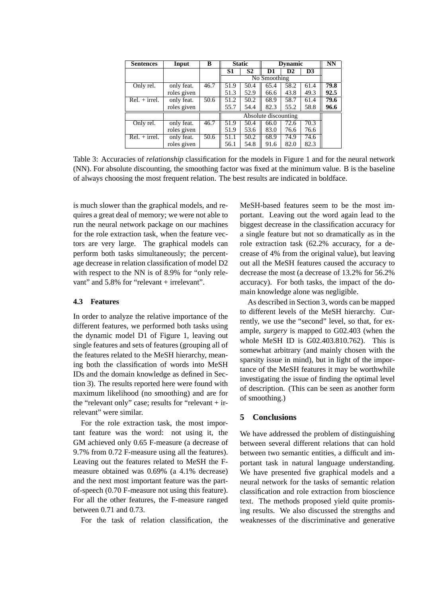| <b>Sentences</b> | Input       | B    |                      | <b>Static</b>  | <b>Dynamic</b> | NN   |      |      |  |
|------------------|-------------|------|----------------------|----------------|----------------|------|------|------|--|
|                  |             |      | S1                   | S <sub>2</sub> | D1             | D2   | D3   |      |  |
|                  |             |      |                      | No Smoothing   |                |      |      |      |  |
| Only rel.        | only feat.  | 46.7 | 51.9                 | 50.4           | 65.4           | 58.2 | 61.4 | 79.8 |  |
|                  | roles given |      | 51.3                 | 52.9           | 66.6           | 43.8 | 49.3 | 92.5 |  |
| $Rel. + irrel.$  | only feat.  | 50.6 | 51.2                 | 50.2           | 68.9           | 58.7 | 61.4 | 79.6 |  |
|                  | roles given |      | 55.7                 | 54.4           | 82.3           | 55.2 | 58.8 | 96.6 |  |
|                  |             |      | Absolute discounting |                |                |      |      |      |  |
| Only rel.        | only feat.  | 46.7 | 51.9                 | 50.4           | 66.0           | 72.6 | 70.3 |      |  |
|                  | roles given |      | 51.9                 | 53.6           | 83.0           | 76.6 | 76.6 |      |  |
| $Rel. + irrel.$  | only feat.  | 50.6 | 51.1                 | 50.2           | 68.9           | 74.9 | 74.6 |      |  |
|                  | roles given |      | 56.1                 | 54.8           | 91.6           | 82.0 | 82.3 |      |  |

Table 3: Accuracies of *relationship* classification for the models in Figure 1 and for the neural network (NN). For absolute discounting, the smoothing factor was fixed at the minimum value. B is the baseline of always choosing the most frequent relation. The best results are indicated in boldface.

is much slower than the graphical models, and requires a great deal of memory; we were not able to run the neural network package on our machines for the role extraction task, when the feature vectors are very large. The graphical models can perform both tasks simultaneously; the percentage decrease in relation classification of model D2 with respect to the NN is of 8.9% for "only relevant" and 5.8% for "relevant + irrelevant".

#### **4.3 Features**

In order to analyze the relative importance of the different features, we performed both tasks using the dynamic model D1 of Figure 1, leaving out single features and sets of features (grouping all of the features related to the MeSH hierarchy, meaning both the classification of words into MeSH IDs and the domain knowledge as defined in Section 3). The results reported here were found with maximum likelihood (no smoothing) and are for the "relevant only" case; results for "relevant + irrelevant" were similar.

For the role extraction task, the most important feature was the word: not using it, the GM achieved only 0.65 F-measure (a decrease of 9.7% from 0.72 F-measure using all the features). Leaving out the features related to MeSH the Fmeasure obtained was 0.69% (a 4.1% decrease) and the next most important feature was the partof-speech (0.70 F-measure not using this feature). For all the other features, the F-measure ranged between 0.71 and 0.73.

For the task of relation classification, the

MeSH-based features seem to be the most important. Leaving out the word again lead to the biggest decrease in the classification accuracy for a single feature but not so dramatically as in the role extraction task (62.2% accuracy, for a decrease of 4% from the original value), but leaving out all the MeSH features caused the accuracy to decrease the most (a decrease of 13.2% for 56.2% accuracy). For both tasks, the impact of the domain knowledge alone was negligible.

As described in Section 3, words can be mapped to different levels of the MeSH hierarchy. Currently, we use the "second" level, so that, for example, *surgery* is mapped to G02.403 (when the whole MeSH ID is G02.403.810.762). This is somewhat arbitrary (and mainly chosen with the sparsity issue in mind), but in light of the importance of the MeSH features it may be worthwhile investigating the issue of finding the optimal level of description. (This can be seen as another form of smoothing.)

#### **5 Conclusions**

We have addressed the problem of distinguishing between several different relations that can hold between two semantic entities, a difficult and important task in natural language understanding. We have presented five graphical models and a neural network for the tasks of semantic relation classification and role extraction from bioscience text. The methods proposed yield quite promising results. We also discussed the strengths and weaknesses of the discriminative and generative